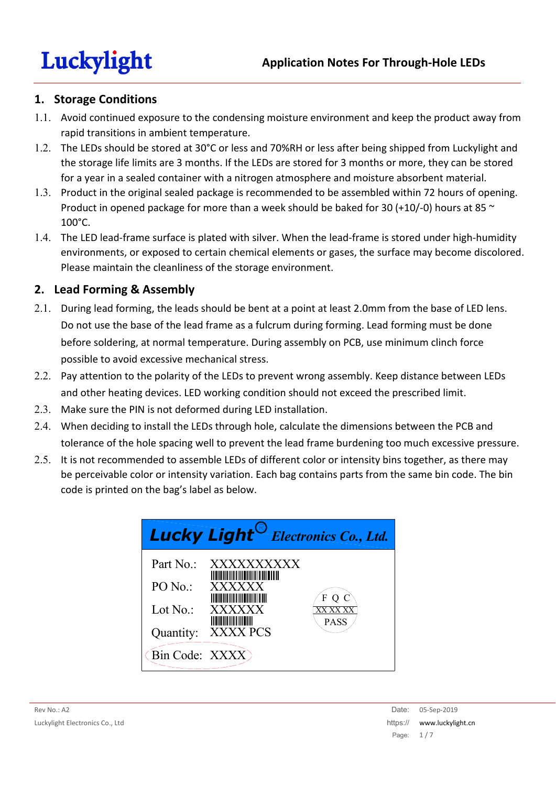### **1. Storage Conditions**

- 1.1. Avoid continued exposure to the condensing moisture environment and keep the product away from rapid transitions in ambient temperature.
- 1.2. The LEDs should be stored at 30°C or less and 70%RH or less after being shipped from Luckylight and the storage life limits are 3 months. If the LEDs are stored for 3 months or more, they can be stored for a year in a sealed container with a nitrogen atmosphere and moisture absorbent material.
- 1.3. Product in the original sealed package is recommended to be assembled within 72 hours of opening. Product in opened package for more than a week should be baked for 30 (+10/-0) hours at 85  $\sim$ 100°C.
- 1.4. The LED lead-frame surface is plated with silver. When the lead-frame is stored under high-humidity environments, or exposed to certain chemical elements or gases, the surface may become discolored. Please maintain the cleanliness of the storage environment.

### **2. Lead Forming & Assembly**

- 2.1. During lead forming, the leads should be bent at a point at least 2.0mm from the base of LED lens. Do not use the base of the lead frame as a fulcrum during forming. Lead forming must be done before soldering, at normal temperature. During assembly on PCB, use minimum clinch force possible to avoid excessive mechanical stress.
- 2.2. Pay attention to the polarity of the LEDs to prevent wrong assembly. Keep distance between LEDs and other heating devices. LED working condition should not exceed the prescribed limit.
- 2.3. Make sure the PIN is not deformed during LED installation.
- 2.4. When deciding to install the LEDs through hole, calculate the dimensions between the PCB and tolerance of the hole spacing well to prevent the lead frame burdening too much excessive pressure.
- 2.5. It is not recommended to assemble LEDs of different color or intensity bins together, as there may be perceivable color or intensity variation. Each bag contains parts from the same bin code. The bin code is printed on the bag's label as below.

|                | <b>Lucky Light</b> <sup>cy</sup> Electronics Co., Ltd.                                                                               |
|----------------|--------------------------------------------------------------------------------------------------------------------------------------|
| Part No.:      | <b>XXXXXXXXXX</b><br><b>THE REAL PROPERTY OF PERSON</b>                                                                              |
| $PO$ No.:      | XXXXXX<br><u> Indian American Indian Indian Indian Indian Indian Indian Indian Indian Indian Indian Indian Indian Indian In</u><br>F |
| Lot $No.$ :    | <b>XXXX</b><br><u> I Hall I Hall I Hall I</u>                                                                                        |
| Quantity:      | <b>PASS</b><br>XXXX PCS                                                                                                              |
| Bin Code: XXXX |                                                                                                                                      |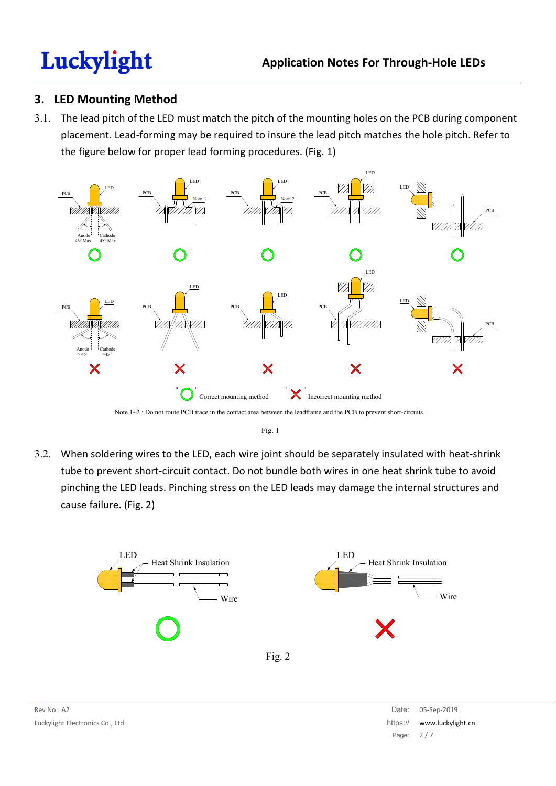### **3. LED Mounting Method**

3.1. The lead pitch of the LED must match the pitch of the mounting holes on the PCB during component placement. Lead-forming may be required to insure the lead pitch matches the hole pitch. Refer to the figure below for proper lead forming procedures. (Fig. 1)



Note  $1~2$ : Do not route PCB trace in the contact area between the leadframe and the PCB to prevent short-circuits.

Fig. 1

3.2. When soldering wires to the LED, each wire joint should be separately insulated with heat-shrink tube to prevent short-circuit contact. Do not bundle both wires in one heat shrink tube to avoid pinching the LED leads. Pinching stress on the LED leads may damage the internal structures and cause failure. (Fig. 2)

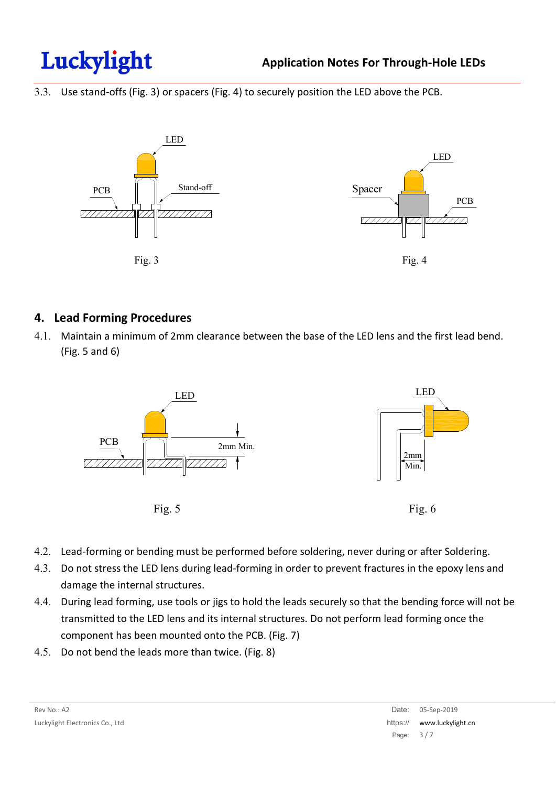

3.3. Use stand-offs (Fig. 3) or spacers (Fig. 4) to securely position the LED above the PCB.



#### **4. Lead Forming Procedures**

4.1. Maintain a minimum of 2mm clearance between the base of the LED lens and the first lead bend. (Fig. 5 and 6)



- 4.2. Lead-forming or bending must be performed before soldering, never during or after Soldering.
- 4.3. Do not stress the LED lens during lead-forming in order to prevent fractures in the epoxy lens and damage the internal structures.
- 4.4. During lead forming, use tools or jigs to hold the leads securely so that the bending force will not be transmitted to the LED lens and its internal structures. Do not perform lead forming once the component has been mounted onto the PCB. (Fig. 7)
- 4.5. Do not bend the leads more than twice. (Fig. 8)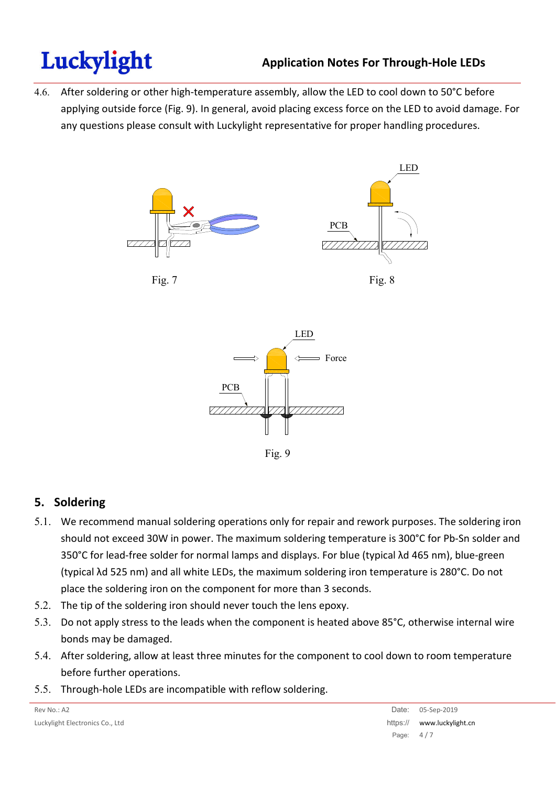4.6. After soldering or other high-temperature assembly, allow the LED to cool down to 50°C before applying outside force (Fig. 9). In general, avoid placing excess force on the LED to avoid damage. For any questions please consult with Luckylight representative for proper handling procedures.











Fig. 9

# **5. Soldering**

- 5.1. We recommend manual soldering operations only for repair and rework purposes. The soldering iron should not exceed 30W in power. The maximum soldering temperature is 300°C for Pb-Sn solder and 350°C for lead-free solder for normal lamps and displays. For blue (typical λd 465 nm), blue-green (typical λd 525 nm) and all white LEDs, the maximum soldering iron temperature is 280°C. Do not place the soldering iron on the component for more than 3 seconds.
- 5.2. The tip of the soldering iron should never touch the lens epoxy.
- 5.3. Do not apply stress to the leads when the component is heated above 85°C, otherwise internal wire bonds may be damaged.
- 5.4. After soldering, allow at least three minutes for the component to cool down to room temperature before further operations.
- 5.5. Through-hole LEDs are incompatible with reflow soldering.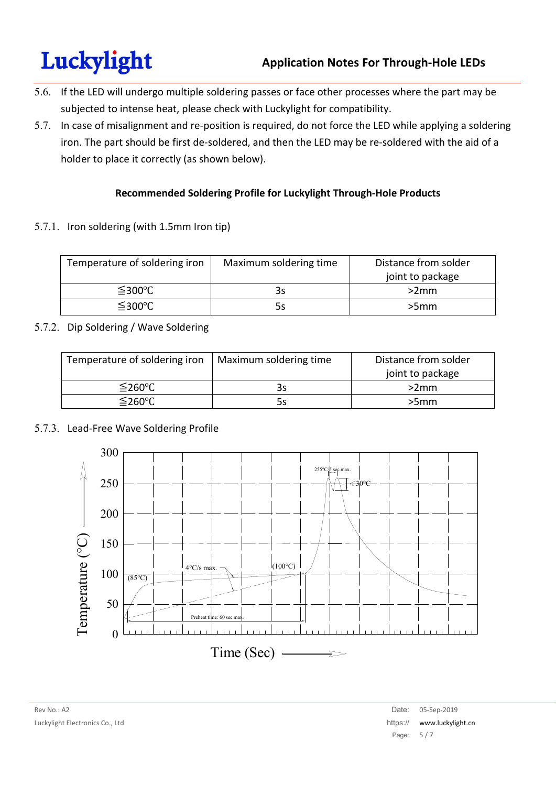- 5.6. If the LED will undergo multiple soldering passes or face other processes where the part may be subjected to intense heat, please check with Luckylight for compatibility.
- 5.7. In case of misalignment and re-position is required, do not force the LED while applying a soldering iron. The part should be first de-soldered, and then the LED may be re-soldered with the aid of a holder to place it correctly (as shown below).

#### **Recommended Soldering Profile for Luckylight Through-Hole Products**

5.7.1. Iron soldering (with 1.5mm Iron tip)

| Temperature of soldering iron | Maximum soldering time | Distance from solder<br>joint to package |
|-------------------------------|------------------------|------------------------------------------|
| $≤$ 300°C                     | 3s                     | >2mm                                     |
| $≤$ 300 $°C$                  | 5s                     | >5mm                                     |

#### 5.7.2. Dip Soldering / Wave Soldering

| Temperature of soldering iron | Maximum soldering time | Distance from solder |
|-------------------------------|------------------------|----------------------|
|                               |                        | joint to package     |
| $≤$ 260°C                     | 3s                     | >2mm                 |
| $≤$ 260°C                     | 5s                     | >5mm                 |

#### 5.7.3. Lead-Free Wave Soldering Profile

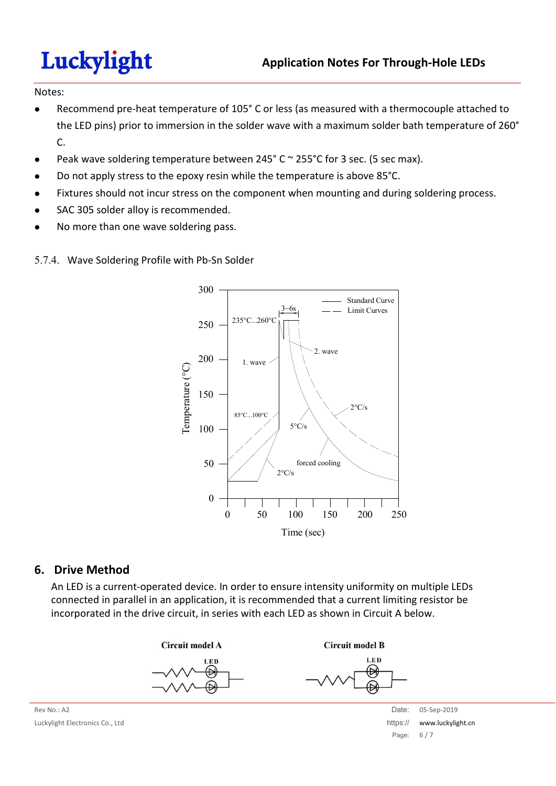#### Notes:

- Recommend pre-heat temperature of 105° C or less (as measured with a thermocouple attached to the LED pins) prior to immersion in the solder wave with a maximum solder bath temperature of 260° C.
- Peak wave soldering temperature between 245° C ~ 255°C for 3 sec. (5 sec max).
- Do not apply stress to the epoxy resin while the temperature is above 85°C.
- Fixtures should not incur stress on the component when mounting and during soldering process.
- SAC 305 solder alloy is recommended.
- No more than one wave soldering pass.





#### **6. Drive Method**

An LED is a current-operated device. In order to ensure intensity uniformity on multiple LEDs connected in parallel in an application, it is recommended that a current limiting resistor be incorporated in the drive circuit, in series with each LED as shown in Circuit A below.





**Circuit model B LED** 



Rev No.: A2 Date: 05-Sep-2019 Particle in the control of the control of the control of the control of the control of the control of the control of the control of the control of the control of the control of the control of Page: 6 / 7